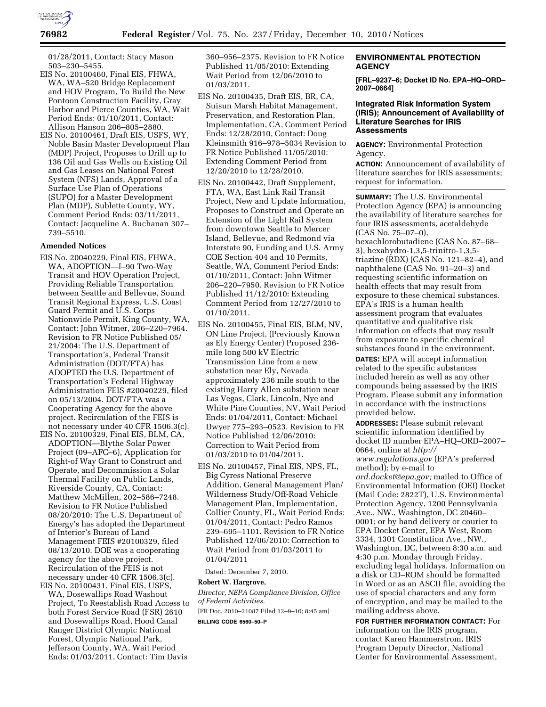

01/28/2011, Contact: Stacy Mason 503–230–5455.

- EIS No. 20100460, Final EIS, FHWA, WA, WA–520 Bridge Replacement and HOV Program, To Build the New Pontoon Construction Facility, Gray Harbor and Pierce Counties, WA, Wait Period Ends: 01/10/2011, Contact: Allison Hanson 206–805–2880.
- EIS No. 20100461, Draft EIS, USFS, WY, Noble Basin Master Development Plan (MDP) Project, Proposes to Drill up to 136 Oil and Gas Wells on Existing Oil and Gas Leases on National Forest System (NFS) Lands, Approval of a Surface Use Plan of Operations (SUPO) for a Master Development Plan (MDP), Sublette County, WY, Comment Period Ends: 03/11/2011, Contact: Jacqueline A. Buchanan 307– 739–5510.

#### **Amended Notices**

- EIS No. 20040229, Final EIS, FHWA, WA, ADOPTION—I–90 Two-Way Transit and HOV Operation Project, Providing Reliable Transportation between Seattle and Bellevue, Sound Transit Regional Express, U.S. Coast Guard Permit and U.S. Corps Nationwide Permit, King County, WA, Contact: John Witmer, 206–220–7964. Revision to FR Notice Published 05/ 21/2004: The U.S. Department of Transportation's, Federal Transit Administration (DOT/FTA) has ADOPTED the U.S. Department of Transportation's Federal Highway Administration FEIS #20040229, filed on 05/13/2004. DOT/FTA was a Cooperating Agency for the above project. Recirculation of the FEIS is not necessary under 40 CFR 1506.3(c).
- EIS No. 20100329, Final EIS, BLM, CA, ADOPTION—Blythe Solar Power Project (09–AFC–6), Application for Right-of Way Grant to Construct and Operate, and Decommission a Solar Thermal Facility on Public Lands, Riverside County, CA, Contact: Matthew McMillen, 202–586–7248. Revision to FR Notice Published 08/20/2010: The U.S. Department of Energy's has adopted the Department of Interior's Bureau of Land Management FEIS #20100329, filed 08/13/2010. DOE was a cooperating agency for the above project. Recirculation of the FEIS is not necessary under 40 CFR 1506.3(c).
- EIS No. 20100431, Final EIS, USFS, WA, Dosewallips Road Washout Project, To Reestablish Road Access to both Forest Service Road (FSR) 2610 and Dosewallips Road, Hood Canal Ranger District Olympic National Forest, Olympic National Park, Jefferson County, WA, Wait Period Ends: 01/03/2011, Contact: Tim Davis

360–956–2375. Revision to FR Notice Published 11/05/2010: Extending Wait Period from 12/06/2010 to 01/03/2011.

- EIS No. 20100435, Draft EIS, BR, CA, Suisun Marsh Habitat Management, Preservation, and Restoration Plan, Implementation, CA, Comment Period Ends: 12/28/2010, Contact: Doug Kleinsmith 916–978–5034 Revision to FR Notice Published 11/05/2010: Extending Comment Period from 12/20/2010 to 12/28/2010.
- EIS No. 20100442, Draft Supplement, FTA, WA, East Link Rail Transit Project, New and Update Information, Proposes to Construct and Operate an Extension of the Light Rail System from downtown Seattle to Mercer Island, Bellevue, and Redmond via Interstate 90, Funding and U.S. Army COE Section 404 and 10 Permits, Seattle, WA, Comment Period Ends: 01/10/2011, Contact: John Witmer 206–220–7950. Revision to FR Notice Published 11/12/2010: Extending Comment Period from 12/27/2010 to 01/10/2011.
- EIS No. 20100455, Final EIS, BLM, NV, ON Line Project, (Previously Known as Ely Energy Center) Proposed 236 mile long 500 kV Electric Transmission Line from a new substation near Ely, Nevada approximately 236 mile south to the existing Harry Allen substation near Las Vegas, Clark, Lincoln, Nye and White Pine Counties, NV, Wait Period Ends: 01/04/2011, Contact: Michael Dwyer 775–293–0523. Revision to FR Notice Published 12/06/2010: Correction to Wait Period from 01/03/2010 to 01/04/2011.
- EIS No. 20100457, Final EIS, NPS, FL, Big Cyress National Preserve Addition, General Management Plan/ Wilderness Study/Off-Road Vehicle Management Plan, Implementation, Collier County, FL, Wait Period Ends: 01/04/2011, Contact: Pedro Ramos 239–695–1101. Revision to FR Notice Published 12/06/2010: Correction to Wait Period from 01/03/2011 to 01/04/2011

Dated: December 7, 2010.

#### **Robert W. Hargrove,**

*Director, NEPA Compliance Division, Office of Federal Activities.* 

[FR Doc. 2010–31087 Filed 12–9–10; 8:45 am]

**BILLING CODE 6560–50–P** 

## **ENVIRONMENTAL PROTECTION AGENCY**

**[FRL–9237–6; Docket ID No. EPA–HQ–ORD– 2007–0664]** 

### **Integrated Risk Information System (IRIS); Announcement of Availability of Literature Searches for IRIS Assessments**

**AGENCY:** Environmental Protection Agency.

**ACTION:** Announcement of availability of literature searches for IRIS assessments; request for information.

**SUMMARY:** The U.S. Environmental Protection Agency (EPA) is announcing the availability of literature searches for four IRIS assessments, acetaldehyde (CAS No. 75–07–0), hexachlorobutadiene (CAS No. 87–68– 3), hexahydro-1,3,5-trinitro-1,3,5 triazine (RDX) (CAS No. 121–82–4), and naphthalene (CAS No. 91–20–3) and requesting scientific information on health effects that may result from exposure to these chemical substances. EPA's IRIS is a human health assessment program that evaluates quantitative and qualitative risk information on effects that may result from exposure to specific chemical substances found in the environment.

**DATES:** EPA will accept information related to the specific substances included herein as well as any other compounds being assessed by the IRIS Program. Please submit any information in accordance with the instructions provided below.

**ADDRESSES:** Please submit relevant scientific information identified by docket ID number EPA–HQ–ORD–2007– 0664, online at *[http://](http://www.regulations.gov) [www.regulations.gov](http://www.regulations.gov)* (EPA's preferred method); by e-mail to *[ord.docket@epa.gov;](mailto:ord.docket@epa.gov)* mailed to Office of Environmental Information (OEI) Docket

(Mail Code: 2822T), U.S. Environmental Protection Agency, 1200 Pennsylvania Ave., NW., Washington, DC 20460– 0001; or by hand delivery or courier to EPA Docket Center, EPA West, Room 3334, 1301 Constitution Ave., NW., Washington, DC, between 8:30 a.m. and 4:30 p.m. Monday through Friday, excluding legal holidays. Information on a disk or CD–ROM should be formatted in Word or as an ASCII file, avoiding the use of special characters and any form of encryption, and may be mailed to the mailing address above.

**FOR FURTHER INFORMATION CONTACT:** For information on the IRIS program, contact Karen Hammerstrom, IRIS Program Deputy Director, National Center for Environmental Assessment,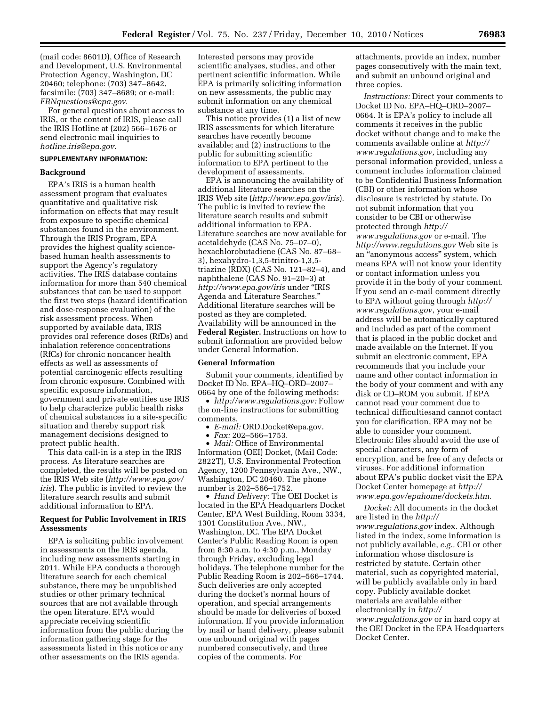(mail code: 8601D), Office of Research and Development, U.S. Environmental Protection Agency, Washington, DC 20460; telephone: (703) 347–8642, facsimile: (703) 347–8689; or e-mail: *[FRNquestions@epa.gov](mailto:FRNquestions@epa.gov)*.

For general questions about access to IRIS, or the content of IRIS, please call the IRIS Hotline at (202) 566–1676 or send electronic mail inquiries to *[hotline.iris@epa.gov.](mailto:hotline.iris@epa.gov)* 

## **SUPPLEMENTARY INFORMATION:**

### **Background**

EPA's IRIS is a human health assessment program that evaluates quantitative and qualitative risk information on effects that may result from exposure to specific chemical substances found in the environment. Through the IRIS Program, EPA provides the highest quality sciencebased human health assessments to support the Agency's regulatory activities. The IRIS database contains information for more than 540 chemical substances that can be used to support the first two steps (hazard identification and dose-response evaluation) of the risk assessment process. When supported by available data, IRIS provides oral reference doses (RfDs) and inhalation reference concentrations (RfCs) for chronic noncancer health effects as well as assessments of potential carcinogenic effects resulting from chronic exposure. Combined with specific exposure information, government and private entities use IRIS to help characterize public health risks of chemical substances in a site-specific situation and thereby support risk management decisions designed to protect public health.

This data call-in is a step in the IRIS process. As literature searches are completed, the results will be posted on the IRIS Web site (*[http://www.epa.gov/](http://www.epa.gov/iris)  [iris](http://www.epa.gov/iris)*). The public is invited to review the literature search results and submit additional information to EPA.

#### **Request for Public Involvement in IRIS Assessments**

EPA is soliciting public involvement in assessments on the IRIS agenda, including new assessments starting in 2011. While EPA conducts a thorough literature search for each chemical substance, there may be unpublished studies or other primary technical sources that are not available through the open literature. EPA would appreciate receiving scientific information from the public during the information gathering stage for the assessments listed in this notice or any other assessments on the IRIS agenda.

Interested persons may provide scientific analyses, studies, and other pertinent scientific information. While EPA is primarily soliciting information on new assessments, the public may submit information on any chemical substance at any time.

This notice provides (1) a list of new IRIS assessments for which literature searches have recently become available; and (2) instructions to the public for submitting scientific information to EPA pertinent to the development of assessments.

EPA is announcing the availability of additional literature searches on the IRIS Web site (*<http://www.epa.gov/iris>*). The public is invited to review the literature search results and submit additional information to EPA. Literature searches are now available for acetaldehyde (CAS No. 75–07–0), hexachlorobutadiene (CAS No. 87–68– 3), hexahydro-1,3,5-trinitro-1,3,5 triazine (RDX) (CAS No. 121–82–4), and naphthalene (CAS No. 91–20–3) at *<http://www.epa.gov/iris>*under ''IRIS Agenda and Literature Searches.'' Additional literature searches will be posted as they are completed. Availability will be announced in the **Federal Register.** Instructions on how to submit information are provided below under General Information.

#### **General Information**

Submit your comments, identified by Docket ID No. EPA–HQ–ORD–2007– 0664 by one of the following methods:

• *[http://www.regulations.gov:](http://www.regulations.gov)* Follow the on-line instructions for submitting comments.

- *E-mail:* ORD.Docket@epa.gov.
- *Fax:* 202–566–1753.

• *Mail:* Office of Environmental Information (OEI) Docket, (Mail Code: 2822T), U.S. Environmental Protection Agency, 1200 Pennsylvania Ave., NW., Washington, DC 20460. The phone number is 202–566–1752.

• *Hand Delivery:* The OEI Docket is located in the EPA Headquarters Docket Center, EPA West Building, Room 3334, 1301 Constitution Ave., NW., Washington, DC. The EPA Docket Center's Public Reading Room is open from 8:30 a.m. to 4:30 p.m., Monday through Friday, excluding legal holidays. The telephone number for the Public Reading Room is 202–566–1744. Such deliveries are only accepted during the docket's normal hours of operation, and special arrangements should be made for deliveries of boxed information. If you provide information by mail or hand delivery, please submit one unbound original with pages numbered consecutively, and three copies of the comments. For

attachments, provide an index, number pages consecutively with the main text, and submit an unbound original and three copies.

*Instructions:* Direct your comments to Docket ID No. EPA–HQ–ORD–2007– 0664. It is EPA's policy to include all comments it receives in the public docket without change and to make the comments available online at *[http://](http://www.regulations.gov)  [www.regulations.gov,](http://www.regulations.gov)* including any personal information provided, unless a comment includes information claimed to be Confidential Business Information (CBI) or other information whose disclosure is restricted by statute. Do not submit information that you consider to be CBI or otherwise protected through *[http://](http://www.regulations.gov)  [www.regulations.gov](http://www.regulations.gov)* or e-mail. The *<http://www.regulations.gov>* Web site is an ''anonymous access'' system, which means EPA will not know your identity or contact information unless you provide it in the body of your comment. If you send an e-mail comment directly to EPA without going through *[http://](http://www.regulations.gov) [www.regulations.gov](http://www.regulations.gov)*, your e-mail address will be automatically captured and included as part of the comment that is placed in the public docket and made available on the Internet. If you submit an electronic comment, EPA recommends that you include your name and other contact information in the body of your comment and with any disk or CD–ROM you submit. If EPA cannot read your comment due to technical difficultiesand cannot contact you for clarification, EPA may not be able to consider your comment. Electronic files should avoid the use of special characters, any form of encryption, and be free of any defects or viruses. For additional information about EPA's public docket visit the EPA Docket Center homepage at *[http://](http://www.epa.gov/epahome/dockets.htm) [www.epa.gov/epahome/dockets.htm](http://www.epa.gov/epahome/dockets.htm)*.

*Docket:* All documents in the docket are listed in the *[http://](http://www.regulations.gov) [www.regulations.gov](http://www.regulations.gov)* index. Although listed in the index, some information is not publicly available, *e.g.,* CBI or other information whose disclosure is restricted by statute. Certain other material, such as copyrighted material, will be publicly available only in hard copy. Publicly available docket materials are available either electronically in *[http://](http://www.regulations.gov) [www.regulations.gov](http://www.regulations.gov)* or in hard copy at the OEI Docket in the EPA Headquarters Docket Center.